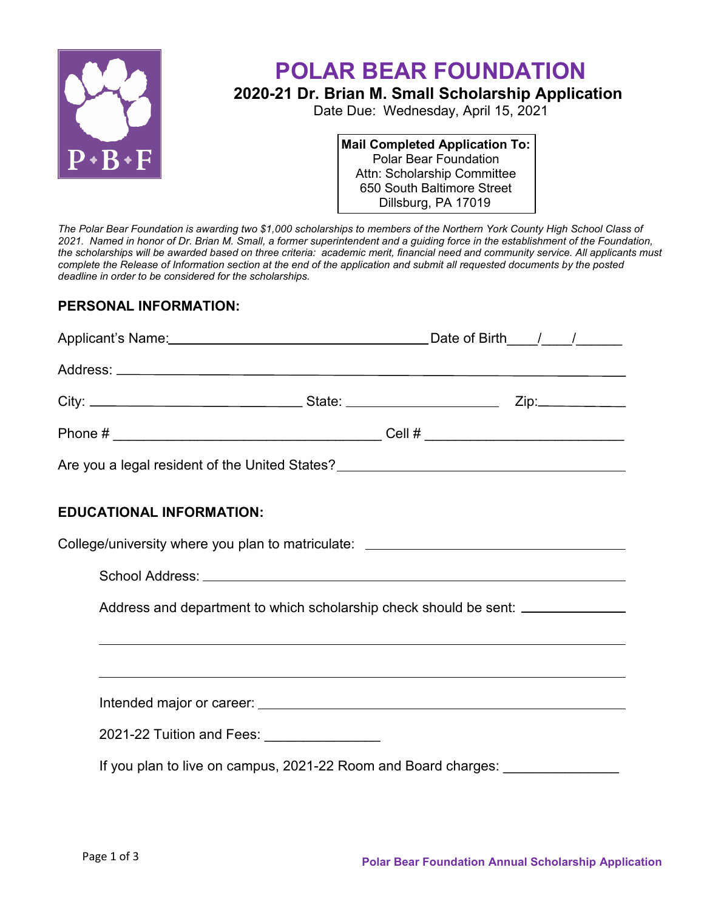

## **POLAR BEAR FOUNDATION**

## **2020-21 Dr. Brian M. Small Scholarship Application**

Date Due: Wednesday, April 15, 2021

**Mail Completed Application To:** Polar Bear Foundation Attn: Scholarship Committee 650 South Baltimore Street Dillsburg, PA 17019

*The Polar Bear Foundation is awarding two \$1,000 scholarships to members of the Northern York County High School Class of 2021. Named in honor of Dr. Brian M. Small, a former superintendent and a guiding force in the establishment of the Foundation, the scholarships will be awarded based on three criteria: academic merit, financial need and community service. All applicants must complete the Release of Information section at the end of the application and submit all requested documents by the posted deadline in order to be considered for the scholarships.*

## **PERSONAL INFORMATION:**

| Are you a legal resident of the United States?__________________________________ |  |  |  |  |  |
|----------------------------------------------------------------------------------|--|--|--|--|--|
| <b>EDUCATIONAL INFORMATION:</b>                                                  |  |  |  |  |  |
| College/university where you plan to matriculate: ______________________________ |  |  |  |  |  |
|                                                                                  |  |  |  |  |  |
| Address and department to which scholarship check should be sent: ______________ |  |  |  |  |  |
|                                                                                  |  |  |  |  |  |
|                                                                                  |  |  |  |  |  |
| 2021-22 Tuition and Fees: 2021-22 Tuition and Fees:                              |  |  |  |  |  |
| If you plan to live on campus, 2021-22 Room and Board charges: _________________ |  |  |  |  |  |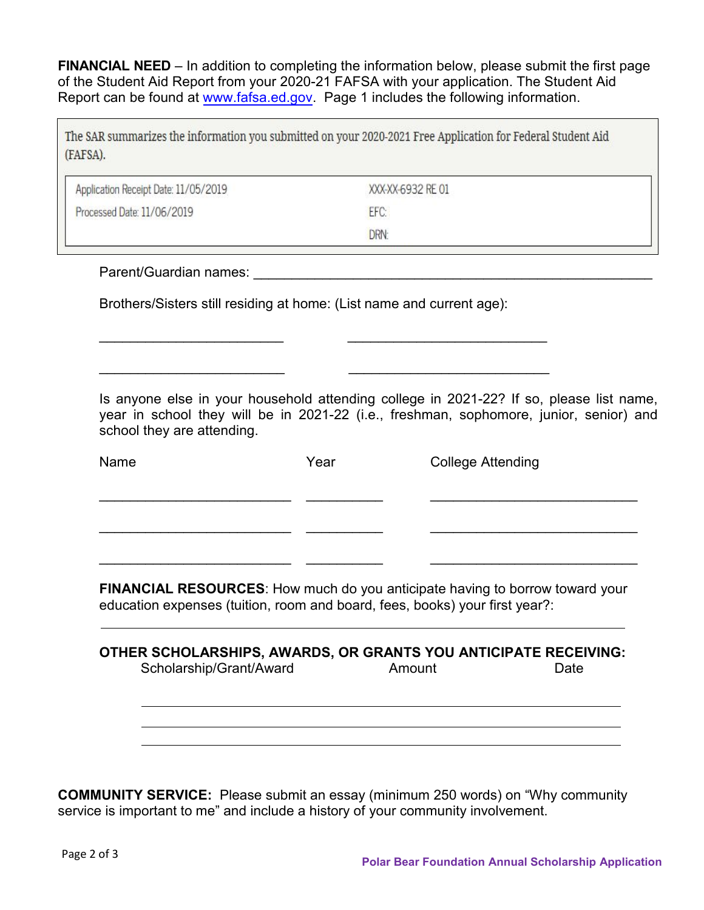**FINANCIAL NEED** – In addition to completing the information below, please submit the first page of the Student Aid Report from your 2020-21 FAFSA with your application. The Student Aid Report can be found at [www.fafsa.ed.gov.](http://www.fafsa.ed.gov/) Page 1 includes the following information.

| The SAR summarizes the information you submitted on your 2020-2021 Free Application for Federal Student Aid |  |
|-------------------------------------------------------------------------------------------------------------|--|
| (FAFSA).                                                                                                    |  |

| XXX-XX-6932 RE01 |  |
|------------------|--|
| EFC:             |  |
| DRN:             |  |
|                  |  |

Parent/Guardian names: \_\_\_\_\_\_\_\_\_\_\_\_\_\_\_\_\_\_\_\_\_\_\_\_\_\_\_\_\_\_\_\_\_\_\_\_\_\_\_\_\_\_\_\_\_\_\_\_\_\_\_\_

Brothers/Sisters still residing at home: (List name and current age):

\_\_\_\_\_\_\_\_\_\_\_\_\_\_\_\_\_\_\_\_\_\_\_\_ \_\_\_\_\_\_\_\_\_\_\_\_\_\_\_\_\_\_\_\_\_\_\_\_\_\_

\_\_\_\_\_\_\_\_\_\_\_\_\_\_\_\_\_\_\_\_\_\_\_\_ \_\_\_\_\_\_\_\_\_\_\_\_\_\_\_\_\_\_\_\_\_\_\_\_\_\_

Is anyone else in your household attending college in 2021-22? If so, please list name, year in school they will be in 2021-22 (i.e., freshman, sophomore, junior, senior) and school they are attending.

| Name | Year | <b>College Attending</b> |  |
|------|------|--------------------------|--|
|      |      |                          |  |
|      |      |                          |  |
|      |      |                          |  |

**FINANCIAL RESOURCES**: How much do you anticipate having to borrow toward your education expenses (tuition, room and board, fees, books) your first year?:

| OTHER SCHOLARSHIPS, AWARDS, OR GRANTS YOU ANTICIPATE RECEIVING:<br>Scholarship/Grant/Award | Amount | Date |
|--------------------------------------------------------------------------------------------|--------|------|
|                                                                                            |        |      |
|                                                                                            |        |      |
|                                                                                            |        |      |

**COMMUNITY SERVICE:** Please submit an essay (minimum 250 words) on "Why community service is important to me" and include a history of your community involvement.